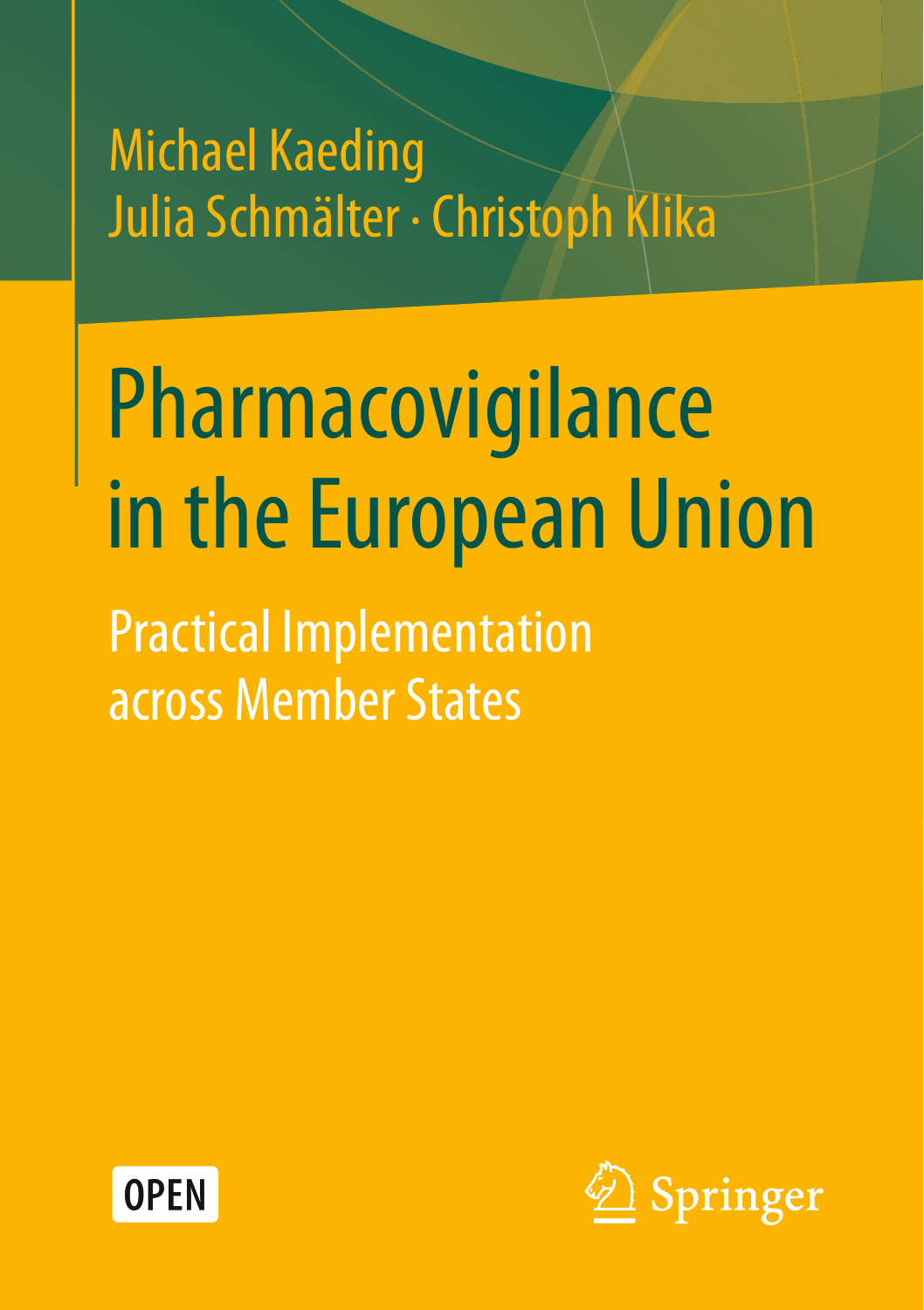# Michael Kaeding Julia Schmälter · Christoph Klika

# Pharmacovigilance in the European Union

Practical Implementation across Member States



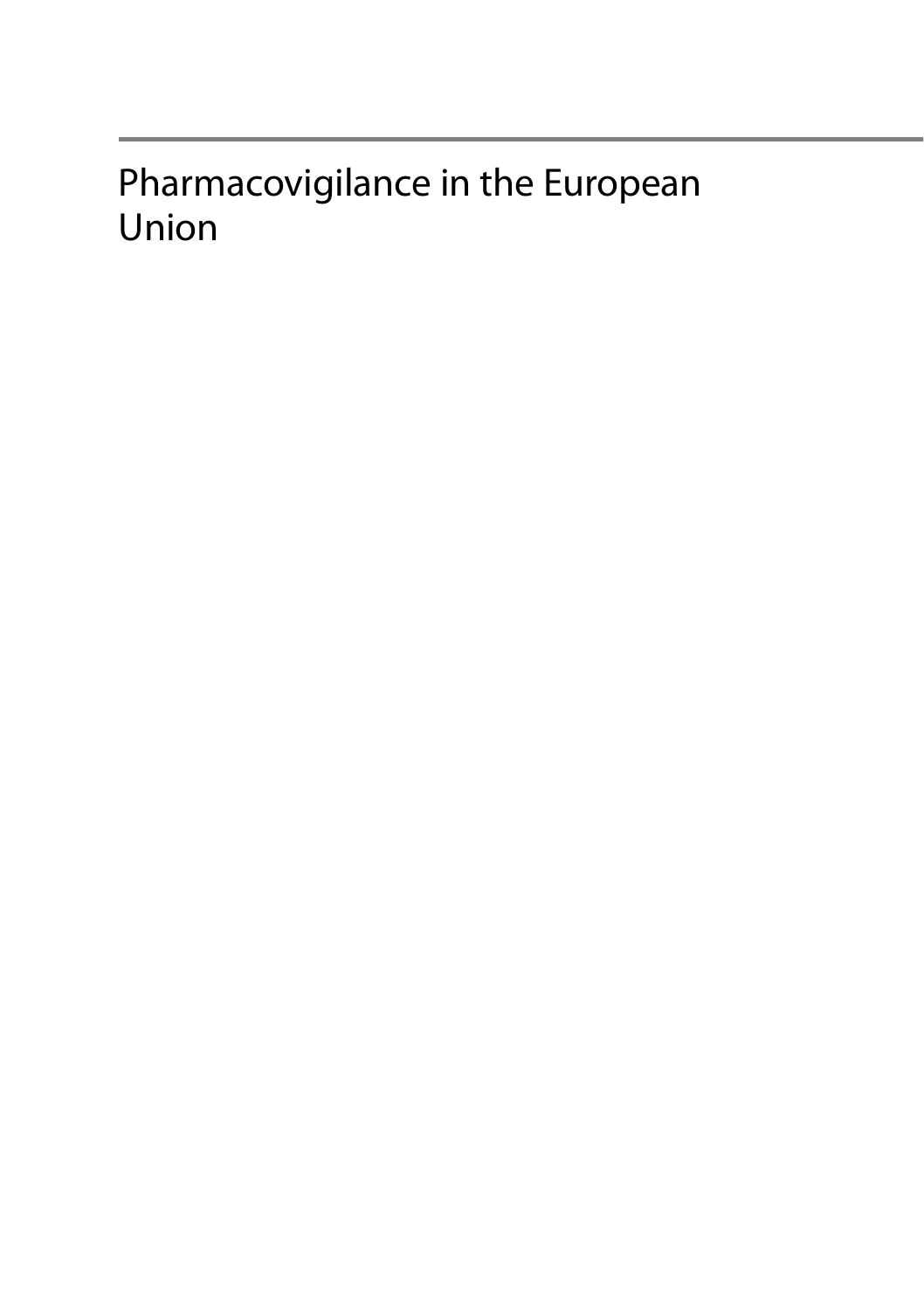# Pharmacovigilance in the European Union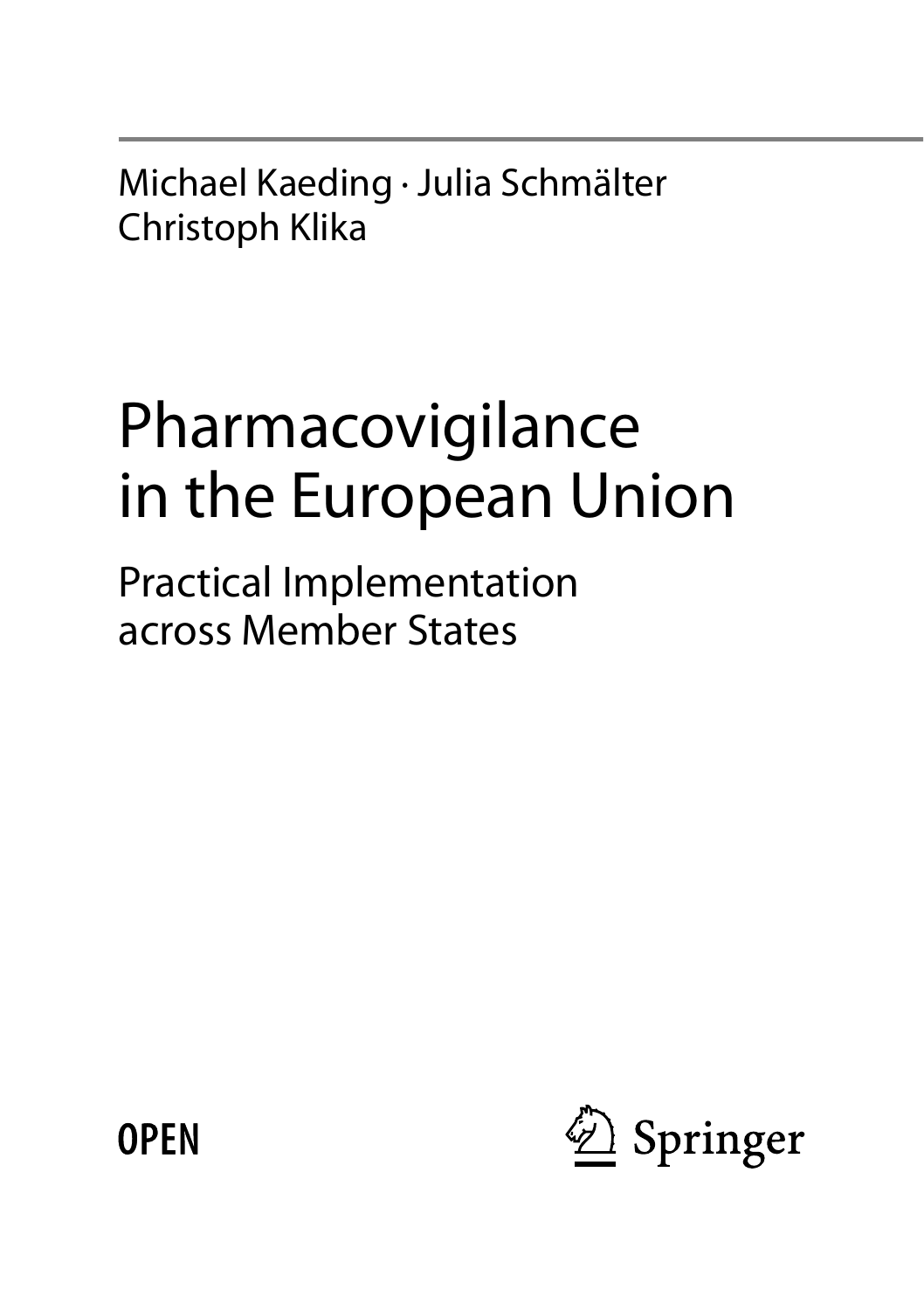Michael Kaeding · Julia Schmälter Christoph Klika

# Pharmacovigilance in the European Union

Practical Implementation across Member States

**OPFN** 

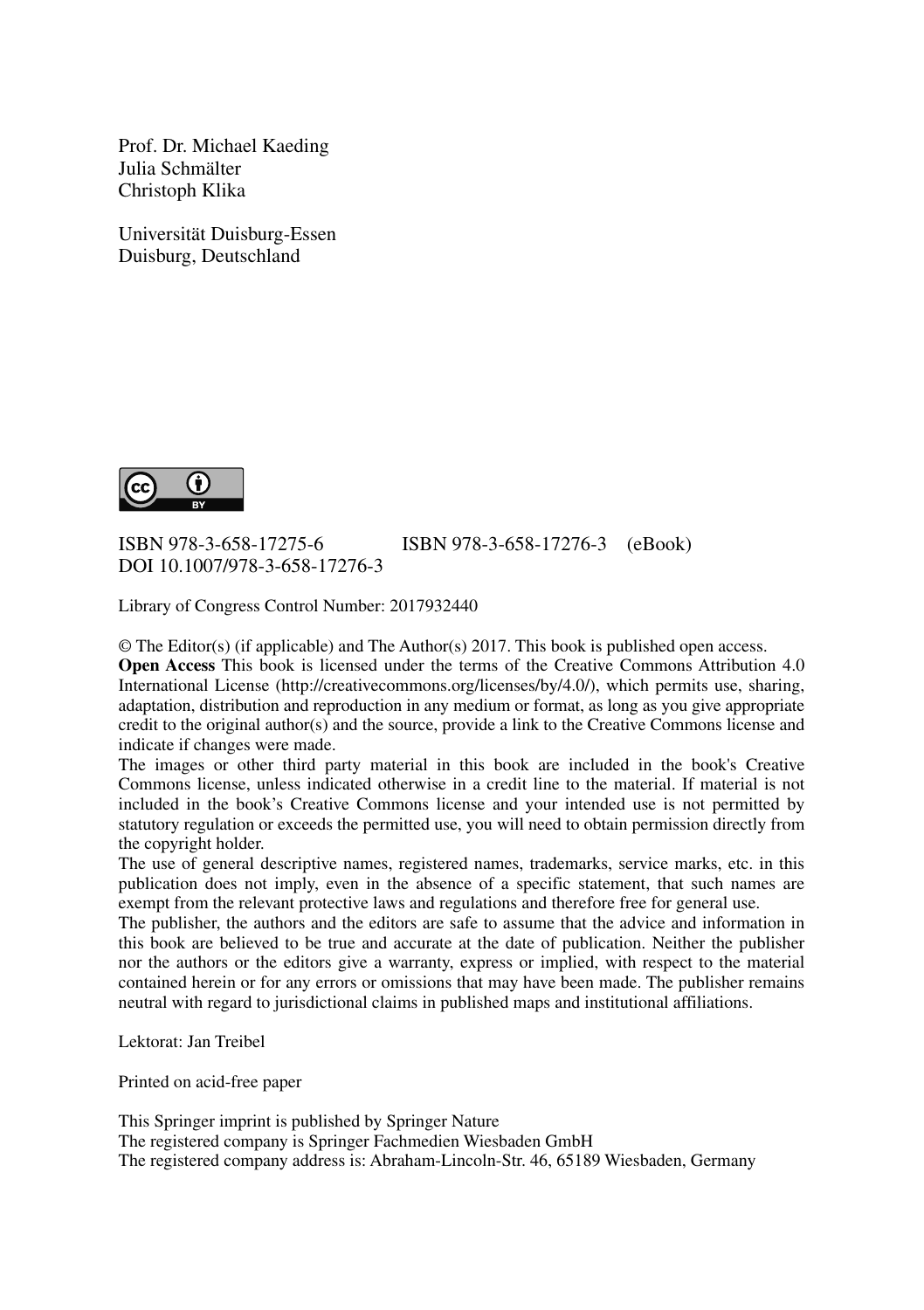Prof. Dr. Michael Kaeding Julia Schmälter Christoph Klika

Universität Duisburg-Essen Duisburg, Deutschland



#### ISBN 978-3-658-17275-6 ISBN 978-3-658-17276-3 (eBook) DOI 10.1007/978-3-658-17276-3

Library of Congress Control Number: 2017932440

© The Editor(s) (if applicable) and The Author(s) 2017. This book is published open access.

**Open Access** This book is licensed under the terms of the Creative Commons Attribution 4.0 International License (http://creativecommons.org/licenses/by/4.0/), which permits use, sharing, adaptation, distribution and reproduction in any medium or format, as long as you give appropriate credit to the original author(s) and the source, provide a link to the Creative Commons license and indicate if changes were made.

The images or other third party material in this book are included in the book's Creative Commons license, unless indicated otherwise in a credit line to the material. If material is not included in the book's Creative Commons license and your intended use is not permitted by statutory regulation or exceeds the permitted use, you will need to obtain permission directly from the copyright holder.

The use of general descriptive names, registered names, trademarks, service marks, etc. in this publication does not imply, even in the absence of a specific statement, that such names are exempt from the relevant protective laws and regulations and therefore free for general use.

The publisher, the authors and the editors are safe to assume that the advice and information in this book are believed to be true and accurate at the date of publication. Neither the publisher nor the authors or the editors give a warranty, express or implied, with respect to the material contained herein or for any errors or omissions that may have been made. The publisher remains neutral with regard to jurisdictional claims in published maps and institutional affiliations.

Lektorat: Jan Treibel

Printed on acid-free paper

This Springer imprint is published by Springer Nature The registered company is Springer Fachmedien Wiesbaden GmbH The registered company address is: Abraham-Lincoln-Str. 46, 65189 Wiesbaden, Germany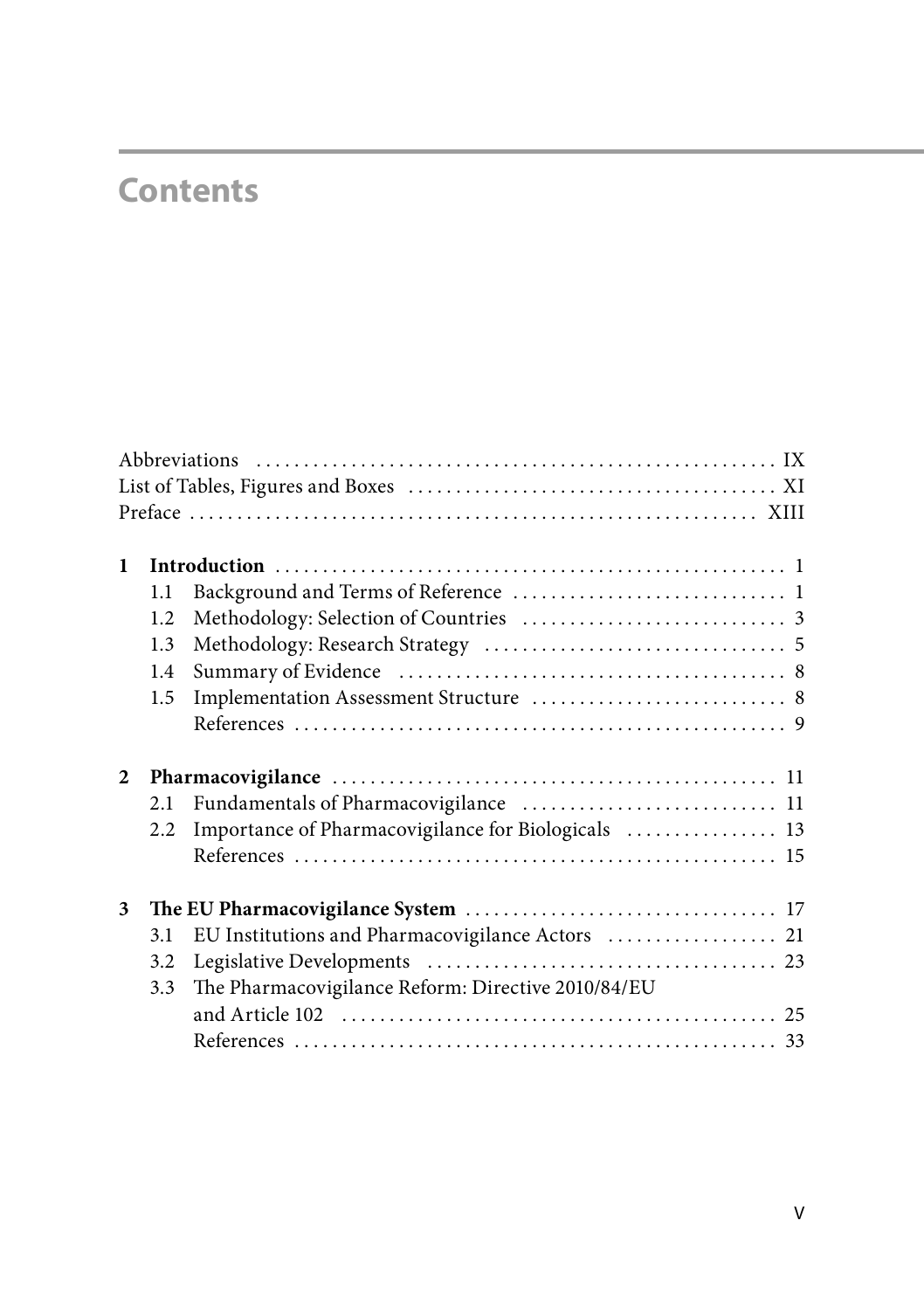### **Contents**

| $\mathbf{1}$   |     |                                                     |  |
|----------------|-----|-----------------------------------------------------|--|
|                | 1.1 |                                                     |  |
|                | 1.2 |                                                     |  |
|                | 1.3 |                                                     |  |
|                | 1.4 |                                                     |  |
|                | 1.5 |                                                     |  |
|                |     |                                                     |  |
| $\overline{2}$ |     |                                                     |  |
|                | 2.1 | Fundamentals of Pharmacovigilance  11               |  |
|                | 2.2 | Importance of Pharmacovigilance for Biologicals  13 |  |
|                |     |                                                     |  |
| 3              |     |                                                     |  |
|                | 3.1 | EU Institutions and Pharmacovigilance Actors  21    |  |
|                | 3.2 |                                                     |  |
|                | 3.3 | The Pharmacovigilance Reform: Directive 2010/84/EU  |  |
|                |     |                                                     |  |
|                |     |                                                     |  |
|                |     |                                                     |  |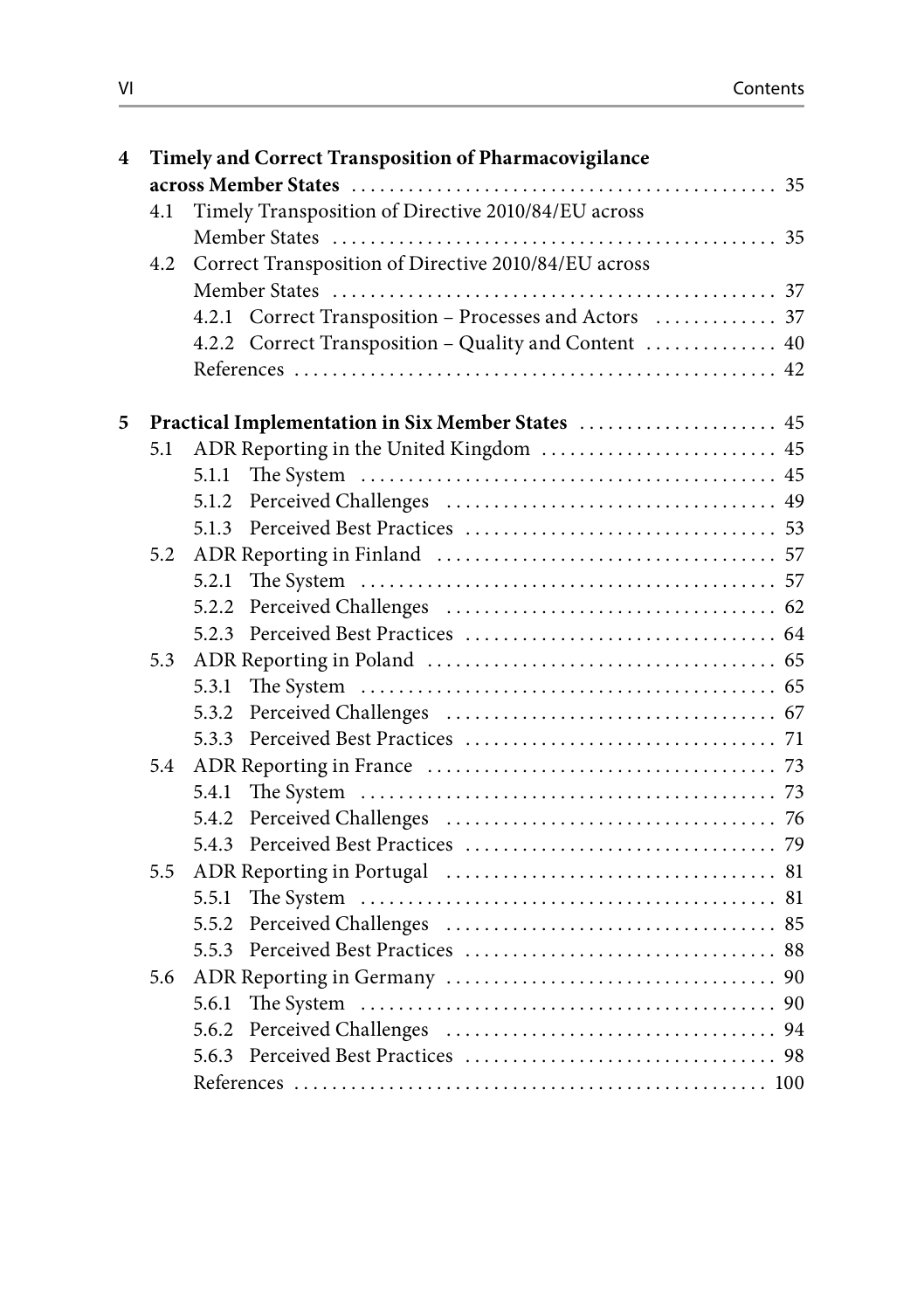| $\overline{\mathbf{4}}$ |     | Timely and Correct Transposition of Pharmacovigilance  |
|-------------------------|-----|--------------------------------------------------------|
|                         |     |                                                        |
|                         | 4.1 | Timely Transposition of Directive 2010/84/EU across    |
|                         |     |                                                        |
|                         | 4.2 | Correct Transposition of Directive 2010/84/EU across   |
|                         |     |                                                        |
|                         |     | 4.2.1 Correct Transposition - Processes and Actors  37 |
|                         |     | 4.2.2 Correct Transposition - Quality and Content  40  |
|                         |     |                                                        |
|                         |     |                                                        |
| 5                       |     | Practical Implementation in Six Member States  45      |
|                         | 5.1 | ADR Reporting in the United Kingdom  45                |
|                         |     |                                                        |
|                         |     |                                                        |
|                         |     |                                                        |
|                         | 5.2 |                                                        |
|                         |     | 5.2.1                                                  |
|                         |     | 5.2.2                                                  |
|                         |     |                                                        |
|                         | 5.3 |                                                        |
|                         |     | 5.3.1                                                  |
|                         |     |                                                        |
|                         |     |                                                        |
|                         | 5.4 |                                                        |
|                         |     | 5.4.1                                                  |
|                         |     | 5.4.2                                                  |
|                         |     | 5.4.3                                                  |
|                         | 5.5 |                                                        |
|                         |     | 5.5.1                                                  |
|                         |     | 5.5.2                                                  |
|                         |     | 5.5.3                                                  |
|                         | 5.6 |                                                        |
|                         |     | 5.6.1                                                  |
|                         |     |                                                        |
|                         |     |                                                        |
|                         |     |                                                        |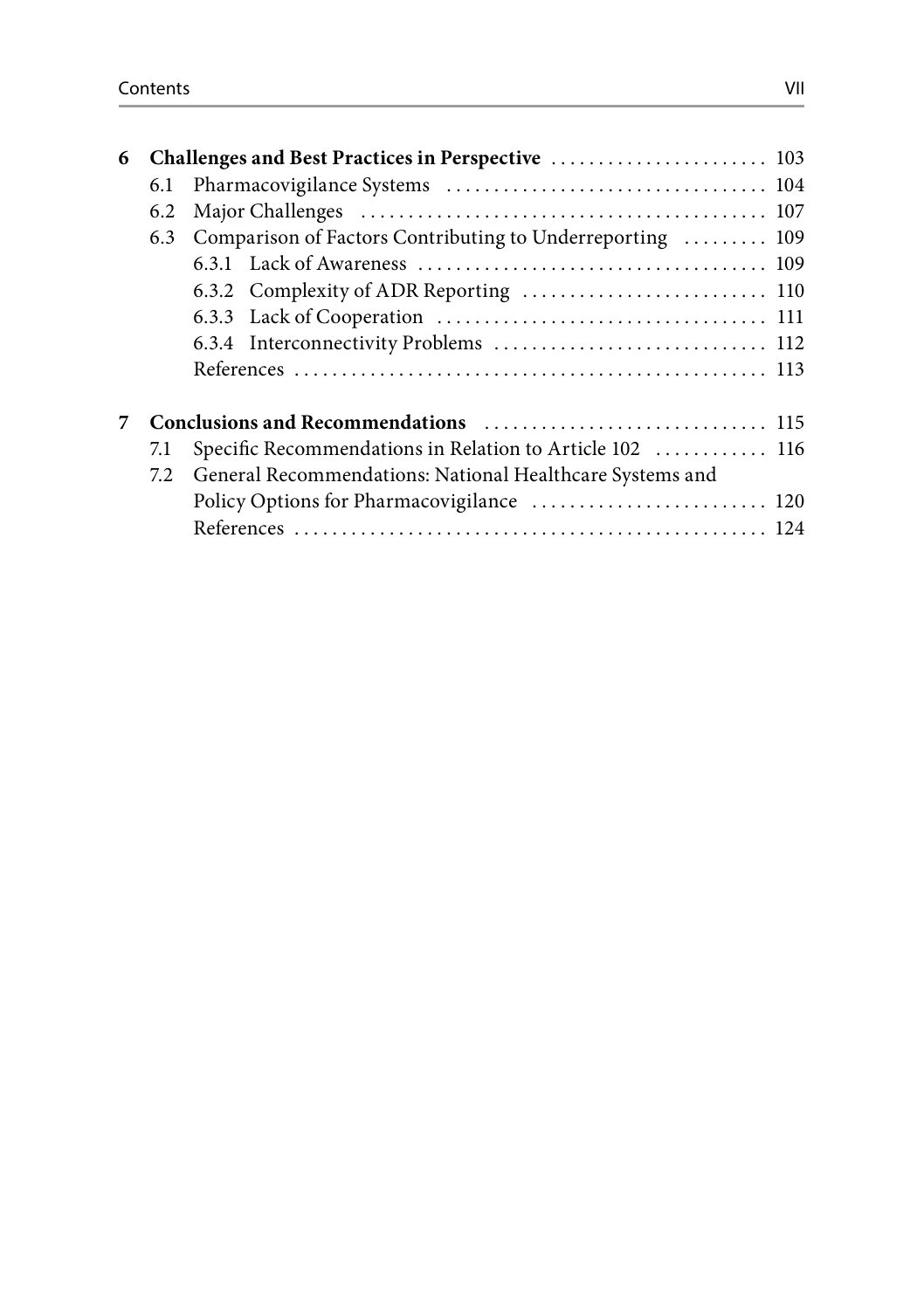| 6.1                                                                                                            |                                                          |                                                                                                                    |
|----------------------------------------------------------------------------------------------------------------|----------------------------------------------------------|--------------------------------------------------------------------------------------------------------------------|
| 6.2                                                                                                            |                                                          |                                                                                                                    |
|                                                                                                                |                                                          |                                                                                                                    |
|                                                                                                                |                                                          |                                                                                                                    |
|                                                                                                                | 6.3.2 Complexity of ADR Reporting  110                   |                                                                                                                    |
|                                                                                                                |                                                          |                                                                                                                    |
|                                                                                                                | 6.3.4 Interconnectivity Problems  112                    |                                                                                                                    |
|                                                                                                                |                                                          |                                                                                                                    |
| Conclusions and Recommendations (etc.) (etc.) (etc.) (etc.) (etc.) (etc.) (etc.) (etc.) (etc.) (etc.) (etc.) ( |                                                          |                                                                                                                    |
| 7.1                                                                                                            | Specific Recommendations in Relation to Article 102  116 |                                                                                                                    |
| General Recommendations: National Healthcare Systems and<br>7.2.                                               |                                                          |                                                                                                                    |
|                                                                                                                | Policy Options for Pharmacovigilance  120                |                                                                                                                    |
|                                                                                                                |                                                          |                                                                                                                    |
|                                                                                                                |                                                          | Challenges and Best Practices in Perspective  103<br>6.3 Comparison of Factors Contributing to Underreporting  109 |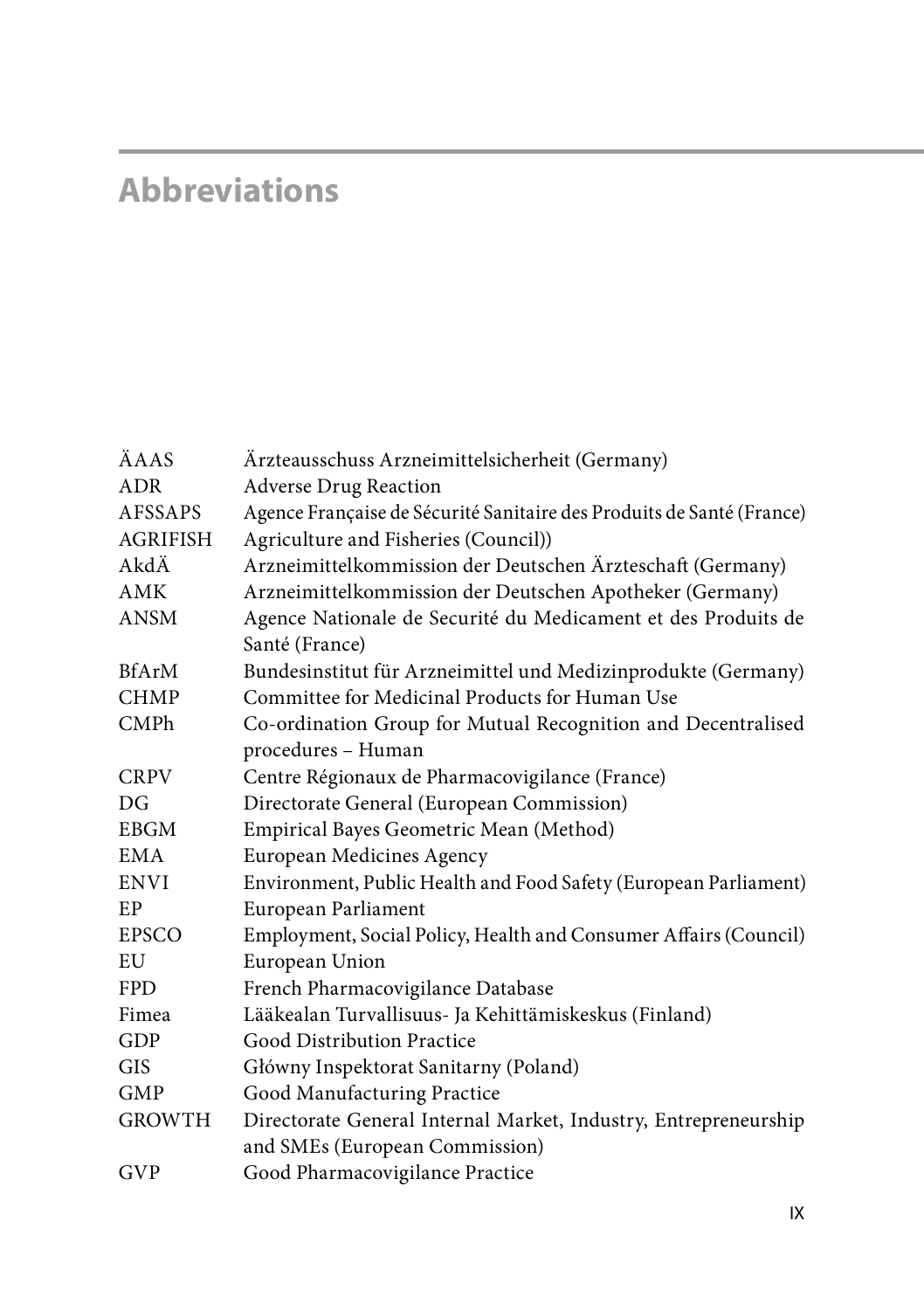## **Abbreviations**

| AAAS            | Ärzteausschuss Arzneimittelsicherheit (Germany)                       |
|-----------------|-----------------------------------------------------------------------|
| <b>ADR</b>      | <b>Adverse Drug Reaction</b>                                          |
| <b>AFSSAPS</b>  | Agence Française de Sécurité Sanitaire des Produits de Santé (France) |
| <b>AGRIFISH</b> | Agriculture and Fisheries (Council))                                  |
| AkdÄ            | Arzneimittelkommission der Deutschen Ärzteschaft (Germany)            |
| AMK             | Arzneimittelkommission der Deutschen Apotheker (Germany)              |
| <b>ANSM</b>     | Agence Nationale de Securité du Medicament et des Produits de         |
|                 | Santé (France)                                                        |
| <b>BfArM</b>    | Bundesinstitut für Arzneimittel und Medizinprodukte (Germany)         |
| <b>CHMP</b>     | Committee for Medicinal Products for Human Use                        |
| <b>CMPh</b>     | Co-ordination Group for Mutual Recognition and Decentralised          |
|                 | procedures - Human                                                    |
| <b>CRPV</b>     | Centre Régionaux de Pharmacovigilance (France)                        |
| DG              | Directorate General (European Commission)                             |
| <b>EBGM</b>     | Empirical Bayes Geometric Mean (Method)                               |
| EMA             | European Medicines Agency                                             |
| <b>ENVI</b>     | Environment, Public Health and Food Safety (European Parliament)      |
| EP              | European Parliament                                                   |
| <b>EPSCO</b>    | Employment, Social Policy, Health and Consumer Affairs (Council)      |
| EU              | European Union                                                        |
| <b>FPD</b>      | French Pharmacovigilance Database                                     |
| Fimea           | Lääkealan Turvallisuus- Ja Kehittämiskeskus (Finland)                 |
| GDP             | <b>Good Distribution Practice</b>                                     |
| <b>GIS</b>      | Główny Inspektorat Sanitarny (Poland)                                 |
| <b>GMP</b>      | Good Manufacturing Practice                                           |
| <b>GROWTH</b>   | Directorate General Internal Market, Industry, Entrepreneurship       |
|                 | and SMEs (European Commission)                                        |
| <b>GVP</b>      | Good Pharmacovigilance Practice                                       |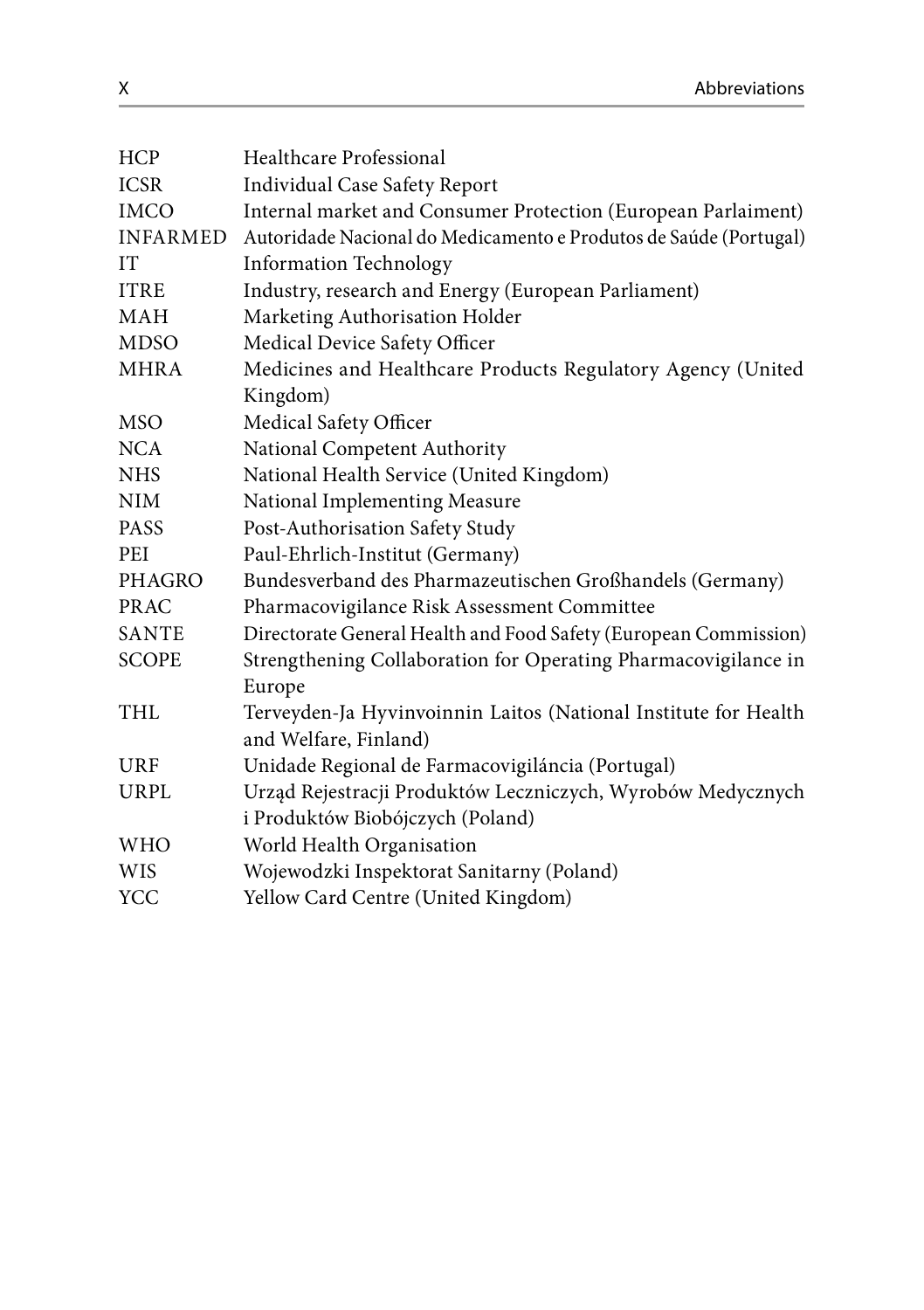| <b>HCP</b>      | Healthcare Professional                                           |
|-----------------|-------------------------------------------------------------------|
| <b>ICSR</b>     | Individual Case Safety Report                                     |
| <b>IMCO</b>     | Internal market and Consumer Protection (European Parlaiment)     |
| <b>INFARMED</b> | Autoridade Nacional do Medicamento e Produtos de Saúde (Portugal) |
| <b>IT</b>       | <b>Information Technology</b>                                     |
| <b>ITRE</b>     | Industry, research and Energy (European Parliament)               |
| MAH             | Marketing Authorisation Holder                                    |
| <b>MDSO</b>     | Medical Device Safety Officer                                     |
| <b>MHRA</b>     | Medicines and Healthcare Products Regulatory Agency (United       |
|                 | Kingdom)                                                          |
| <b>MSO</b>      | Medical Safety Officer                                            |
| <b>NCA</b>      | National Competent Authority                                      |
| <b>NHS</b>      | National Health Service (United Kingdom)                          |
| <b>NIM</b>      | National Implementing Measure                                     |
| <b>PASS</b>     | Post-Authorisation Safety Study                                   |
| PEI             | Paul-Ehrlich-Institut (Germany)                                   |
| <b>PHAGRO</b>   | Bundesverband des Pharmazeutischen Großhandels (Germany)          |
| <b>PRAC</b>     | Pharmacovigilance Risk Assessment Committee                       |
| SANTE           | Directorate General Health and Food Safety (European Commission)  |
| <b>SCOPE</b>    | Strengthening Collaboration for Operating Pharmacovigilance in    |
|                 | Europe                                                            |
| <b>THL</b>      | Terveyden-Ja Hyvinvoinnin Laitos (National Institute for Health   |
|                 | and Welfare, Finland)                                             |
| <b>URF</b>      | Unidade Regional de Farmacovigiláncia (Portugal)                  |
| URPL            | Urząd Rejestracji Produktów Leczniczych, Wyrobów Medycznych       |
|                 | i Produktów Biobójczych (Poland)                                  |
| <b>WHO</b>      | World Health Organisation                                         |
| <b>WIS</b>      | Wojewodzki Inspektorat Sanitarny (Poland)                         |
| YCC             | Yellow Card Centre (United Kingdom)                               |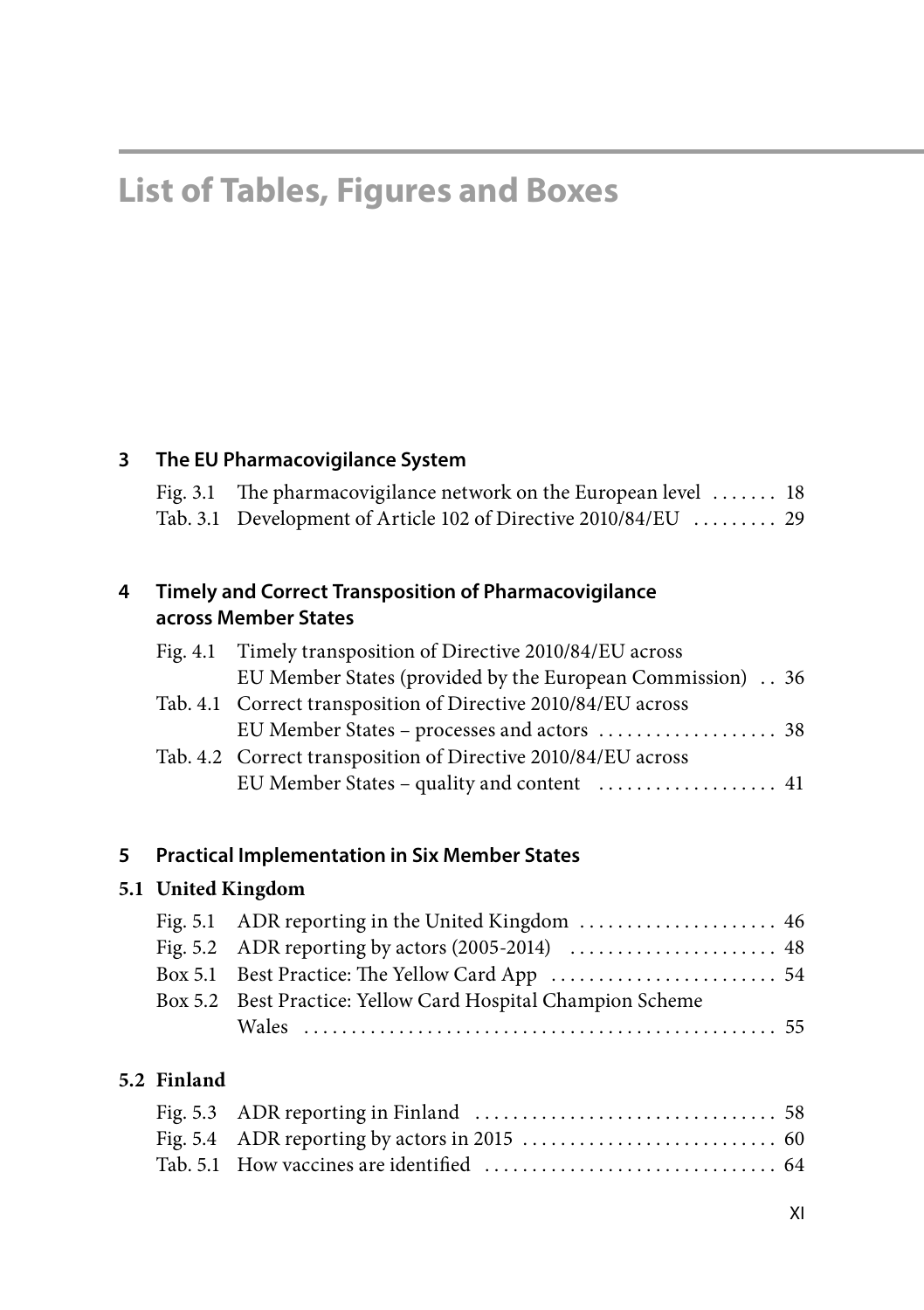# **List of Tables, Figures and Boxes**

#### **3 The EU Pharmacovigilance System**

| Fig. 3.1 The pharmacovigilance network on the European level $\ldots$ 18 |  |
|--------------------------------------------------------------------------|--|
| Tab. 3.1 Development of Article 102 of Directive 2010/84/EU  29          |  |

#### **4 Timely and Correct Transposition of Pharmacovigilance across Member States**

| Fig. 4.1 Timely transposition of Directive 2010/84/EU across  |
|---------------------------------------------------------------|
| EU Member States (provided by the European Commission) 36     |
| Tab. 4.1 Correct transposition of Directive 2010/84/EU across |
|                                                               |
| Tab. 4.2 Correct transposition of Directive 2010/84/EU across |
|                                                               |
|                                                               |

#### **5 Practical Implementation in Six Member States**

#### **5.1 United Kingdom**

| Fig. 5.1 ADR reporting in the United Kingdom  46            |  |
|-------------------------------------------------------------|--|
|                                                             |  |
|                                                             |  |
| Box 5.2 Best Practice: Yellow Card Hospital Champion Scheme |  |
|                                                             |  |

#### **5.2 Finland**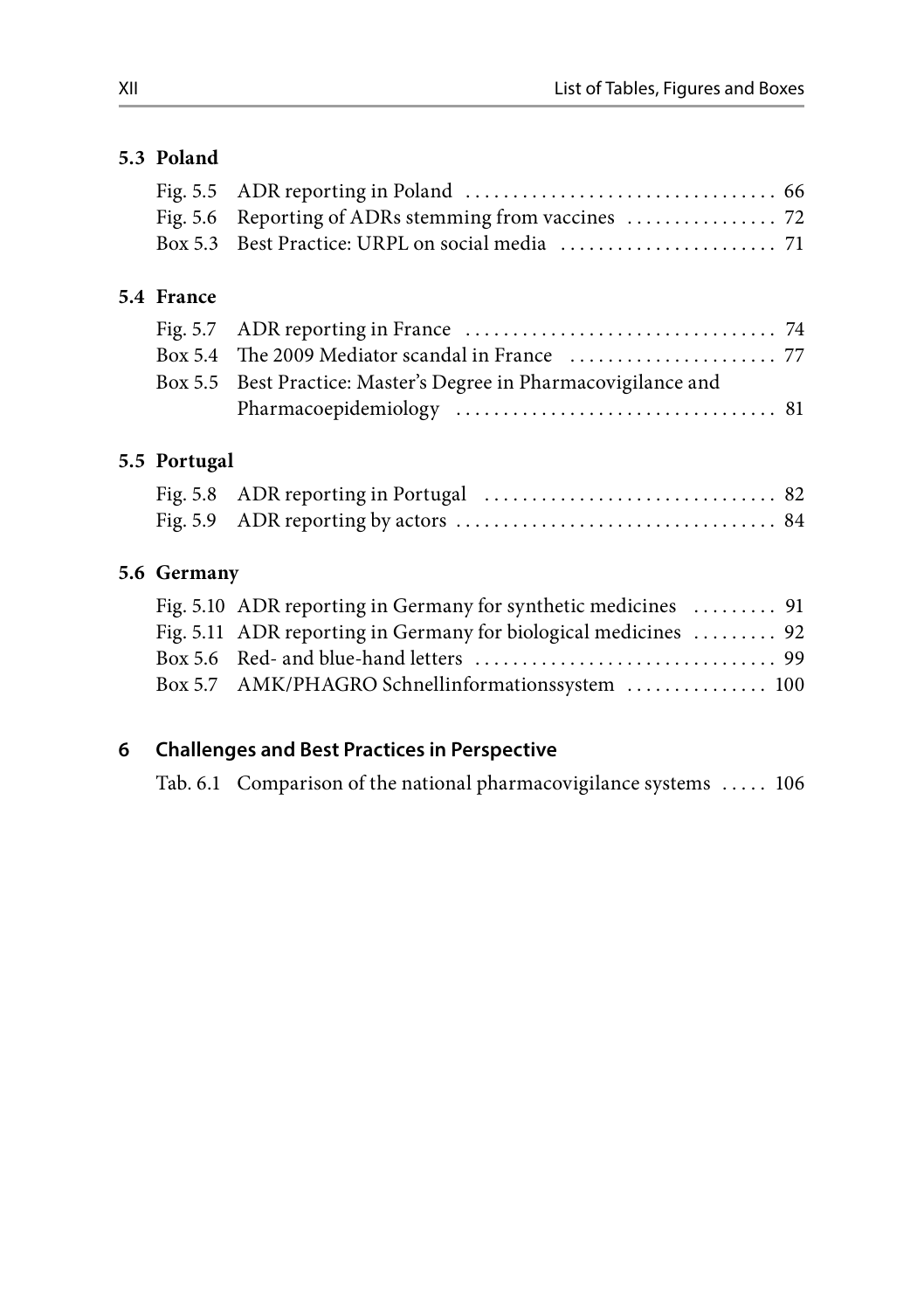#### **5.3 Poland**

|   | Fig. $5.5$<br>Fig. $5.6$ |                                                                                            |
|---|--------------------------|--------------------------------------------------------------------------------------------|
|   |                          |                                                                                            |
|   | 5.4 France               |                                                                                            |
|   |                          | Fig. 5.7 ADR reporting in France $\dots\dots\dots\dots\dots\dots\dots\dots\dots\dots\dots$ |
|   |                          |                                                                                            |
|   |                          | Box 5.5 Best Practice: Master's Degree in Pharmacovigilance and                            |
|   |                          |                                                                                            |
|   | 5.5 Portugal             |                                                                                            |
|   |                          |                                                                                            |
|   |                          |                                                                                            |
|   | 5.6 Germany              |                                                                                            |
|   |                          | Fig. 5.10 ADR reporting in Germany for synthetic medicines  91                             |
|   |                          | Fig. 5.11 ADR reporting in Germany for biological medicines  92                            |
|   |                          |                                                                                            |
|   |                          | Box 5.7 AMK/PHAGRO Schnellinformationssystem  100                                          |
| 6 |                          | <b>Challenges and Best Practices in Perspective</b>                                        |

Tab. 6.1 Comparison of the national pharmacovigilance systems  $\,\ldots\,$  . 106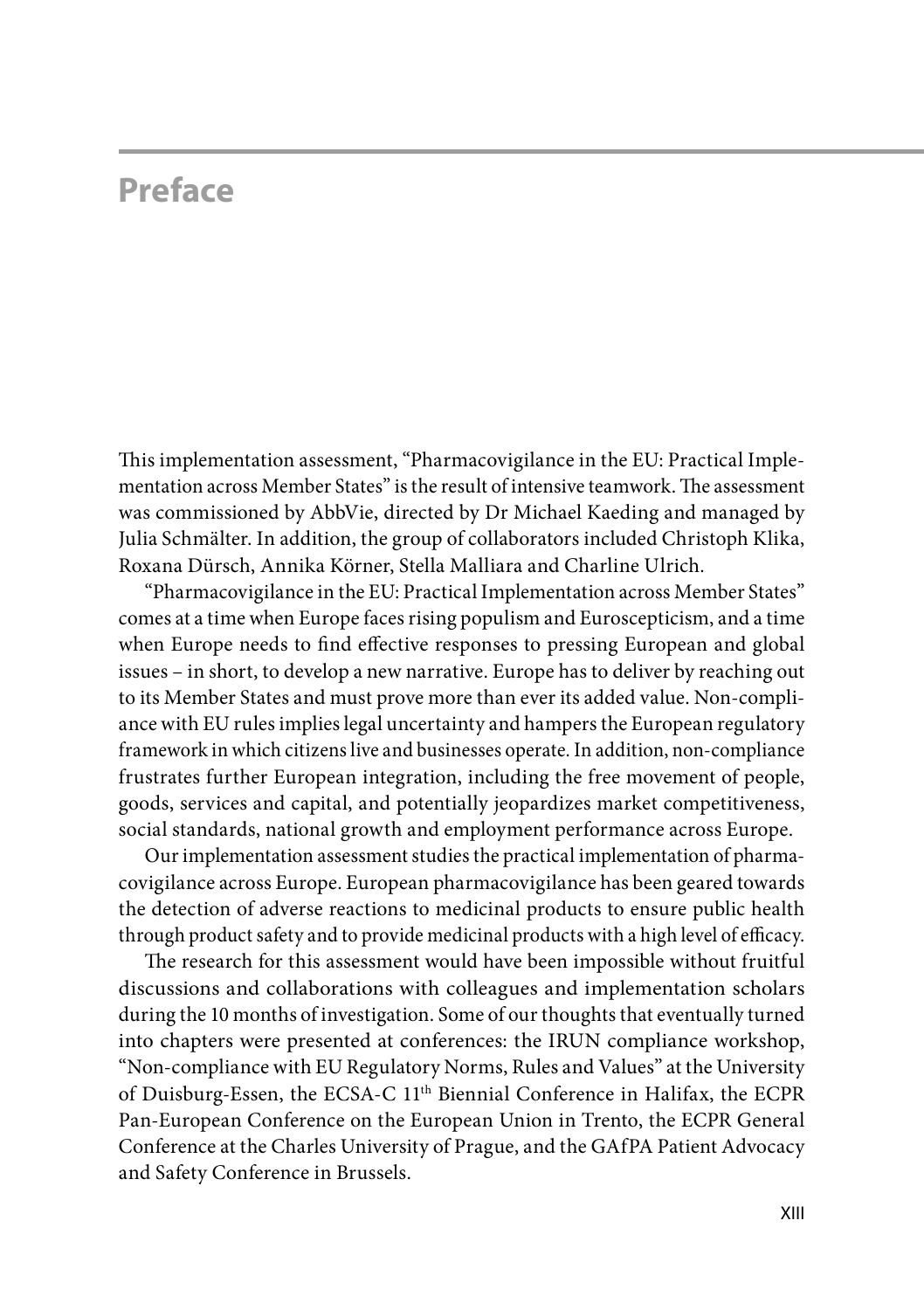### **Preface**

This implementation assessment, "Pharmacovigilance in the EU: Practical Implementation across Member States" is the result of intensive teamwork. The assessment was commissioned by AbbVie, directed by Dr Michael Kaeding and managed by Julia Schmälter. In addition, the group of collaborators included Christoph Klika, Roxana Dürsch, Annika Körner, Stella Malliara and Charline Ulrich.

"Pharmacovigilance in the EU: Practical Implementation across Member States" comes at a time when Europe faces rising populism and Euroscepticism, and a time when Europe needs to find effective responses to pressing European and global issues – in short, to develop a new narrative. Europe has to deliver by reaching out to its Member States and must prove more than ever its added value. Non-compliance with EU rules implies legal uncertainty and hampers the European regulatory framework in which citizens live and businesses operate. In addition, non-compliance frustrates further European integration, including the free movement of people, goods, services and capital, and potentially jeopardizes market competitiveness, social standards, national growth and employment performance across Europe.

Our implementation assessment studies the practical implementation of pharmacovigilance across Europe. European pharmacovigilance has been geared towards the detection of adverse reactions to medicinal products to ensure public health through product safety and to provide medicinal products with a high level of efficacy.

The research for this assessment would have been impossible without fruitful discussions and collaborations with colleagues and implementation scholars during the 10 months of investigation. Some of our thoughts that eventually turned into chapters were presented at conferences: the IRUN compliance workshop, "Non-compliance with EU Regulatory Norms, Rules and Values" at the University of Duisburg-Essen, the ECSA-C 11th Biennial Conference in Halifax, the ECPR Pan-European Conference on the European Union in Trento, the ECPR General Conference at the Charles University of Prague, and the GAfPA Patient Advocacy and Safety Conference in Brussels.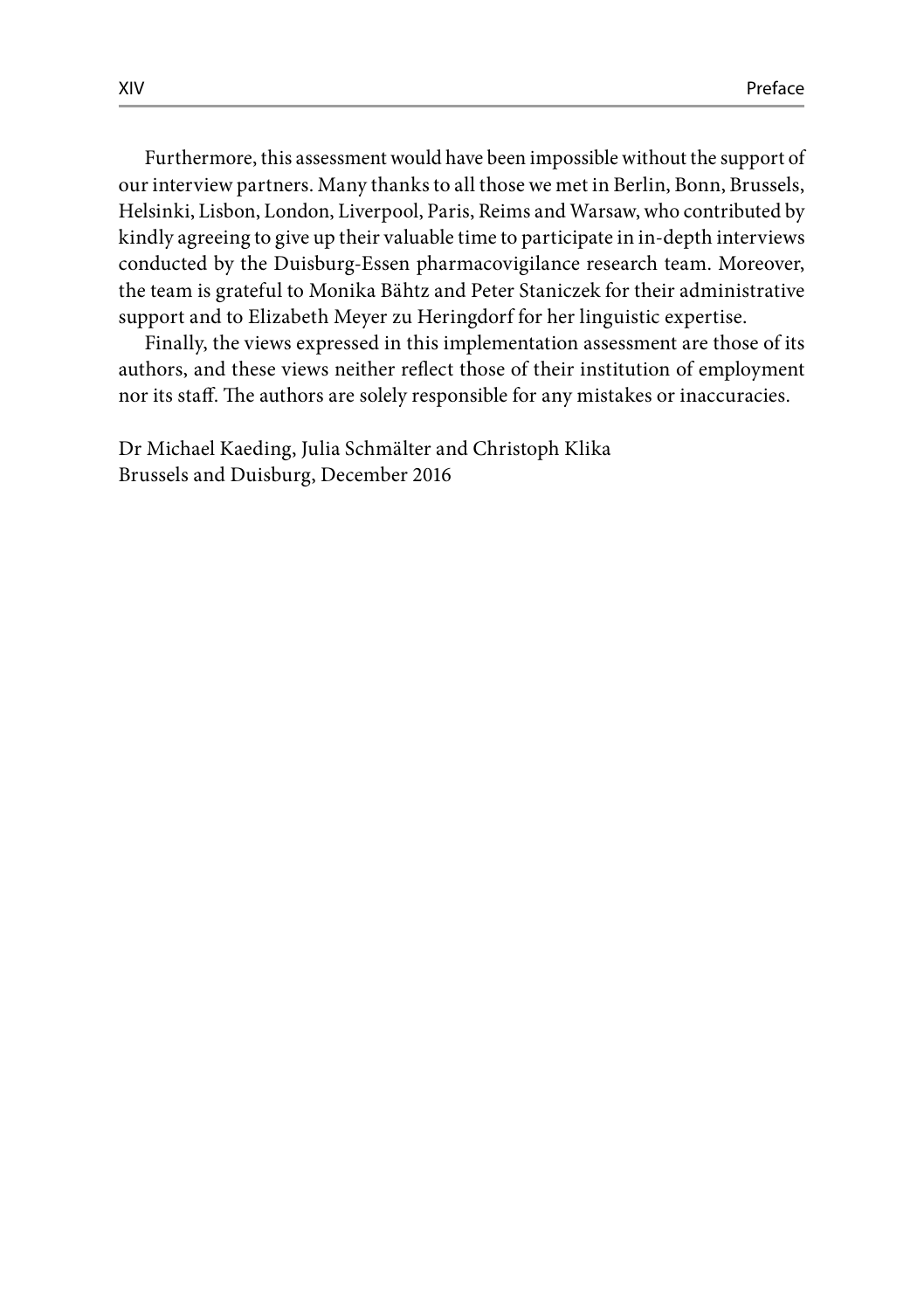Furthermore, this assessment would have been impossible without the support of our interview partners. Many thanks to all those we met in Berlin, Bonn, Brussels, Helsinki, Lisbon, London, Liverpool, Paris, Reims and Warsaw, who contributed by kindly agreeing to give up their valuable time to participate in in-depth interviews conducted by the Duisburg-Essen pharmacovigilance research team. Moreover, the team is grateful to Monika Bähtz and Peter Staniczek for their administrative support and to Elizabeth Meyer zu Heringdorf for her linguistic expertise.

Finally, the views expressed in this implementation assessment are those of its authors, and these views neither reflect those of their institution of employment nor its staff. The authors are solely responsible for any mistakes or inaccuracies.

Dr Michael Kaeding, Julia Schmälter and Christoph Klika Brussels and Duisburg, December 2016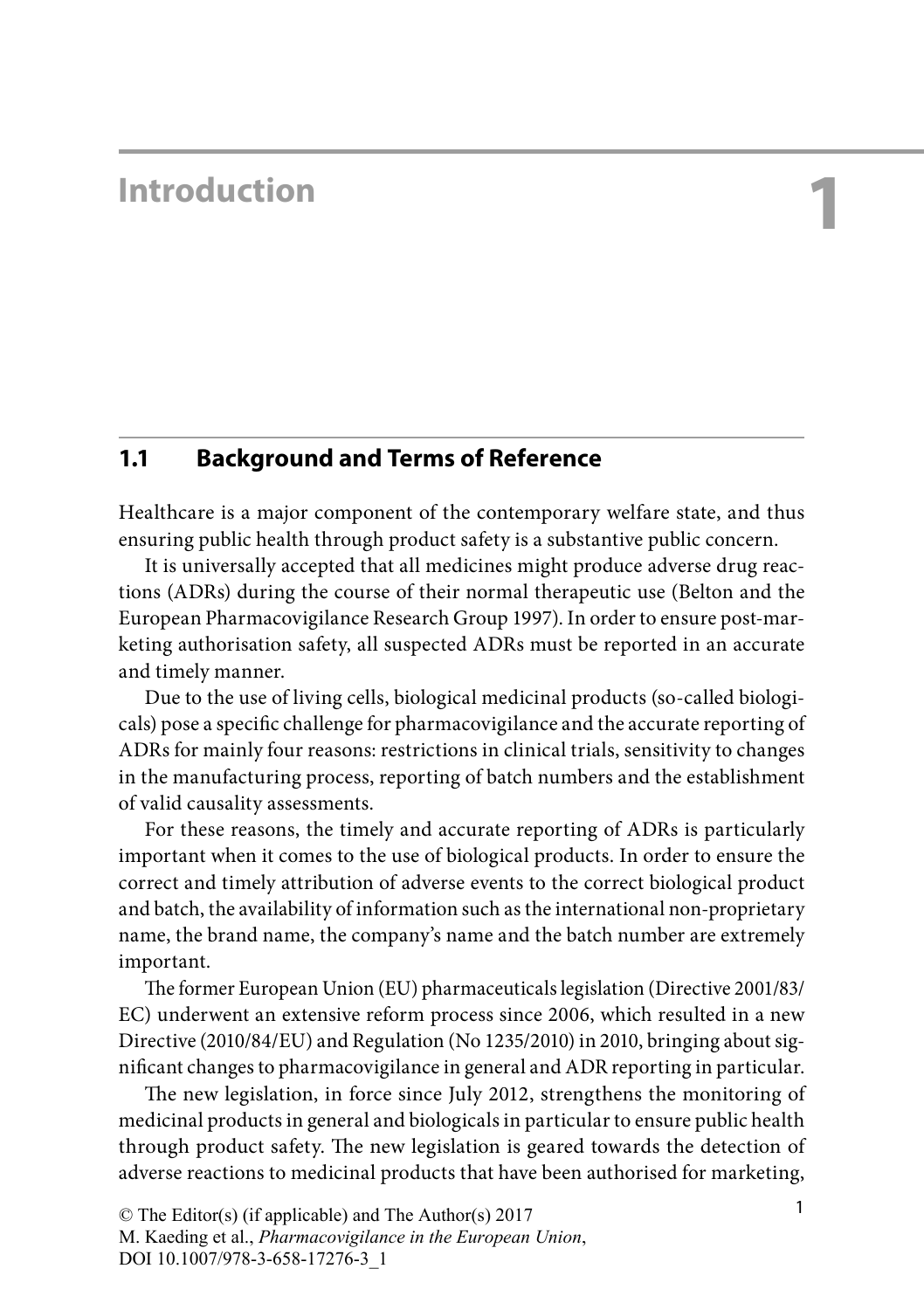### **Introduction**

# **1**

#### **1.1 Background and Terms of Reference**

Healthcare is a major component of the contemporary welfare state, and thus ensuring public health through product safety is a substantive public concern.

It is universally accepted that all medicines might produce adverse drug reactions (ADRs) during the course of their normal therapeutic use (Belton and the European Pharmacovigilance Research Group 1997). In order to ensure post-marketing authorisation safety, all suspected ADRs must be reported in an accurate and timely manner.

Due to the use of living cells, biological medicinal products (so-called biologicals) pose a specific challenge for pharmacovigilance and the accurate reporting of ADRs for mainly four reasons: restrictions in clinical trials, sensitivity to changes in the manufacturing process, reporting of batch numbers and the establishment of valid causality assessments.

For these reasons, the timely and accurate reporting of ADRs is particularly important when it comes to the use of biological products. In order to ensure the correct and timely attribution of adverse events to the correct biological product and batch, the availability of information such as the international non-proprietary name, the brand name, the company's name and the batch number are extremely important.

The former European Union (EU) pharmaceuticals legislation (Directive 2001/83/ EC) underwent an extensive reform process since 2006, which resulted in a new Directive (2010/84/EU) and Regulation (No 1235/2010) in 2010, bringing about significant changes to pharmacovigilance in general and ADR reporting in particular.

The new legislation, in force since July 2012, strengthens the monitoring of medicinal products in general and biologicals in particular to ensure public health through product safety. The new legislation is geared towards the detection of adverse reactions to medicinal products that have been authorised for marketing,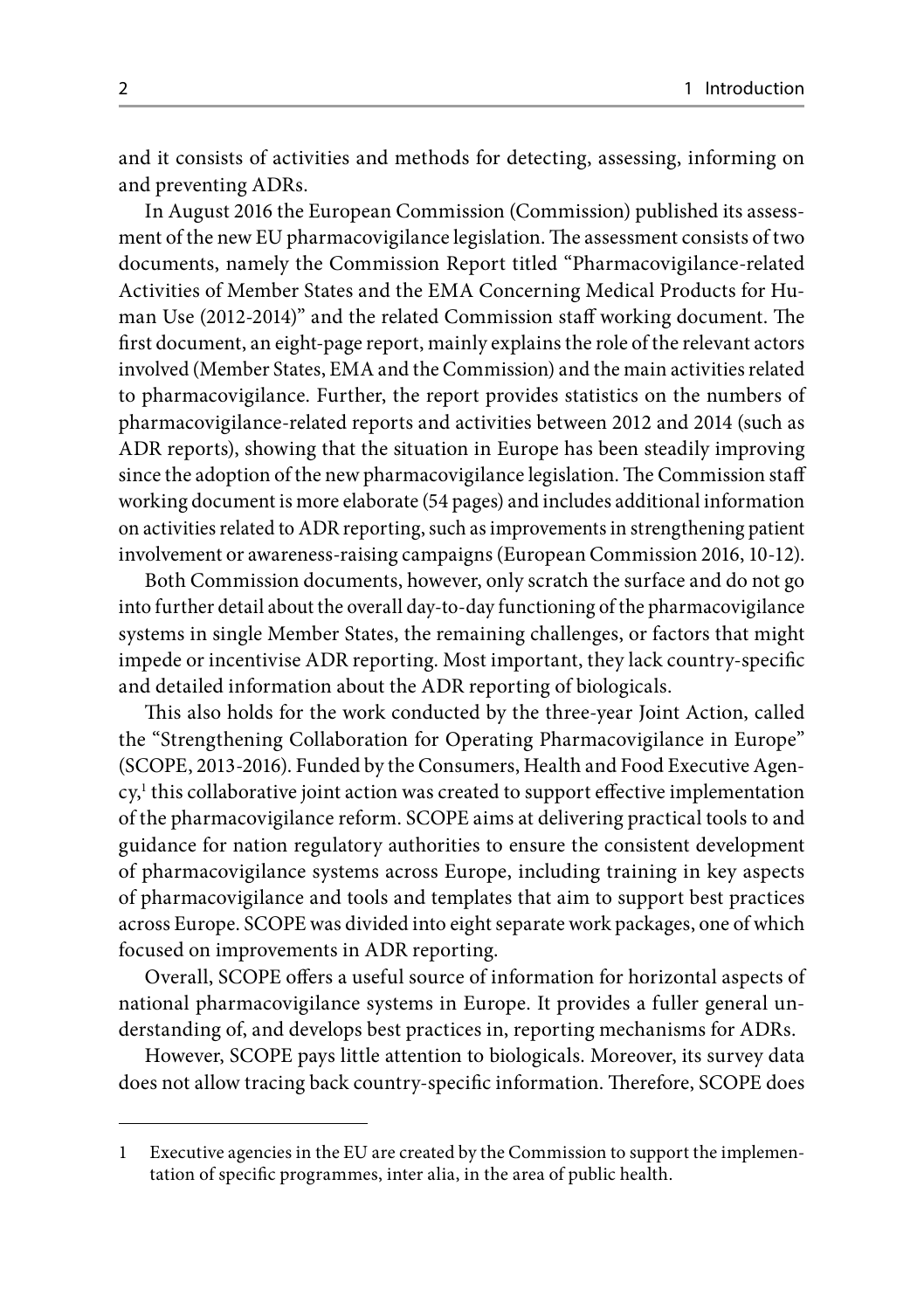and it consists of activities and methods for detecting, assessing, informing on and preventing ADRs.

In August 2016 the European Commission (Commission) published its assessment of the new EU pharmacovigilance legislation. The assessment consists of two documents, namely the Commission Report titled "Pharmacovigilance-related Activities of Member States and the EMA Concerning Medical Products for Human Use (2012-2014)" and the related Commission staff working document. The first document, an eight-page report, mainly explains the role of the relevant actors involved (Member States, EMA and the Commission) and the main activities related to pharmacovigilance. Further, the report provides statistics on the numbers of pharmacovigilance-related reports and activities between 2012 and 2014 (such as ADR reports), showing that the situation in Europe has been steadily improving since the adoption of the new pharmacovigilance legislation. The Commission staff working document is more elaborate (54 pages) and includes additional information on activities related to ADR reporting, such as improvements in strengthening patient involvement or awareness-raising campaigns (European Commission 2016, 10-12).

Both Commission documents, however, only scratch the surface and do not go into further detail about the overall day-to-day functioning of the pharmacovigilance systems in single Member States, the remaining challenges, or factors that might impede or incentivise ADR reporting. Most important, they lack country-specific and detailed information about the ADR reporting of biologicals.

This also holds for the work conducted by the three-year Joint Action, called the "Strengthening Collaboration for Operating Pharmacovigilance in Europe" (SCOPE, 2013-2016). Funded by the Consumers, Health and Food Executive Agen- $\text{cv},^1$  this collaborative joint action was created to support effective implementation of the pharmacovigilance reform. SCOPE aims at delivering practical tools to and guidance for nation regulatory authorities to ensure the consistent development of pharmacovigilance systems across Europe, including training in key aspects of pharmacovigilance and tools and templates that aim to support best practices across Europe. SCOPE was divided into eight separate work packages, one of which focused on improvements in ADR reporting.

Overall, SCOPE offers a useful source of information for horizontal aspects of national pharmacovigilance systems in Europe. It provides a fuller general understanding of, and develops best practices in, reporting mechanisms for ADRs.

However, SCOPE pays little attention to biologicals. Moreover, its survey data does not allow tracing back country-specific information. Therefore, SCOPE does

Executive agencies in the EU are created by the Commission to support the implementation of specific programmes, inter alia, in the area of public health.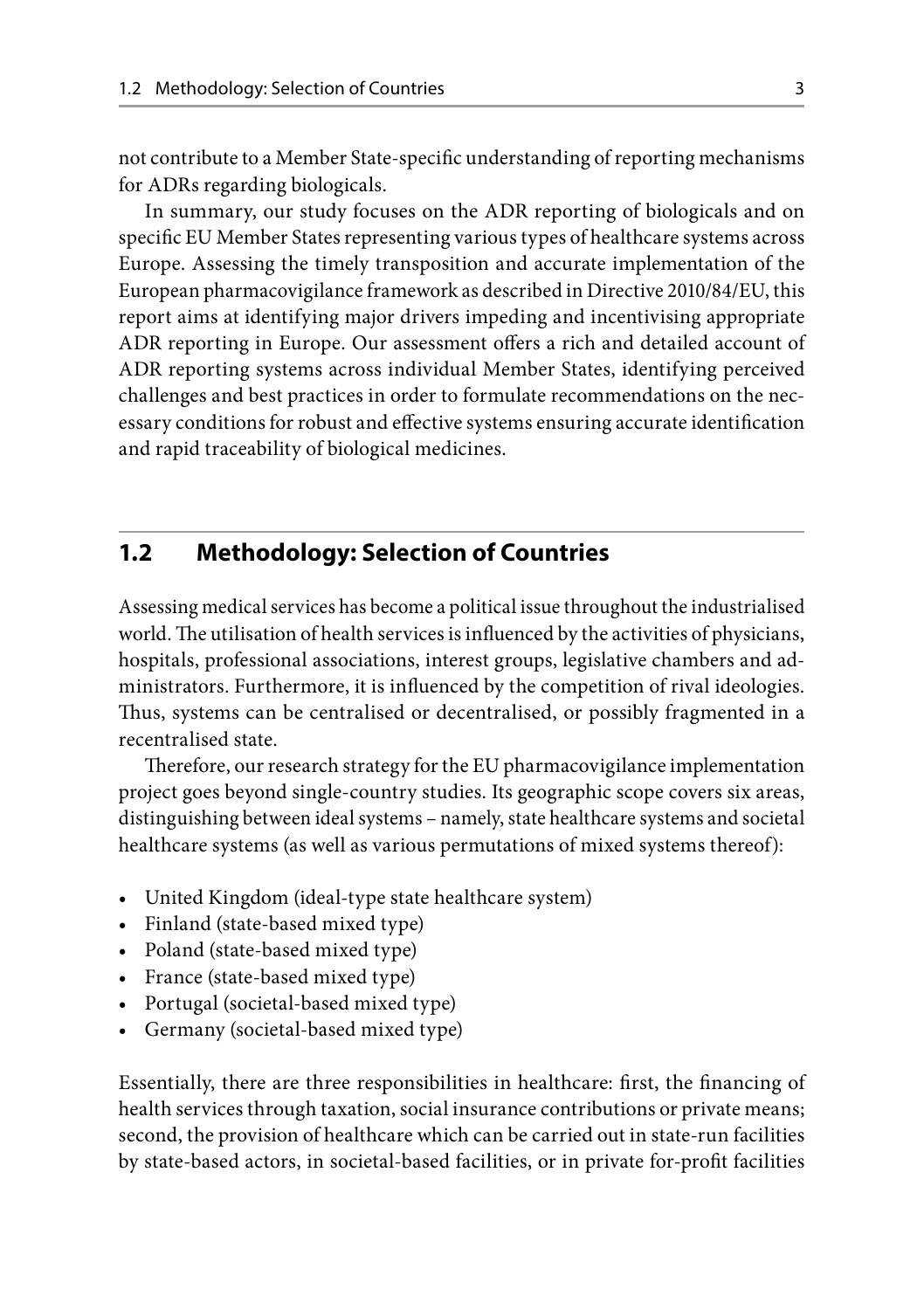not contribute to a Member State-specific understanding of reporting mechanisms for ADRs regarding biologicals.

In summary, our study focuses on the ADR reporting of biologicals and on specific EU Member States representing various types of healthcare systems across Europe. Assessing the timely transposition and accurate implementation of the European pharmacovigilance framework as described in Directive 2010/84/EU, this report aims at identifying major drivers impeding and incentivising appropriate ADR reporting in Europe. Our assessment offers a rich and detailed account of ADR reporting systems across individual Member States, identifying perceived challenges and best practices in order to formulate recommendations on the necessary conditions for robust and effective systems ensuring accurate identification and rapid traceability of biological medicines.

#### **1.2 Methodology: Selection of Countries**

Assessing medical services has become a political issue throughout the industrialised world. The utilisation of health services is influenced by the activities of physicians, hospitals, professional associations, interest groups, legislative chambers and administrators. Furthermore, it is influenced by the competition of rival ideologies. Thus, systems can be centralised or decentralised, or possibly fragmented in a recentralised state.

Therefore, our research strategy for the EU pharmacovigilance implementation project goes beyond single-country studies. Its geographic scope covers six areas, distinguishing between ideal systems – namely, state healthcare systems and societal healthcare systems (as well as various permutations of mixed systems thereof):

- • United Kingdom (ideal-type state healthcare system)
- Finland (state-based mixed type)
- Poland (state-based mixed type)
- • France (state-based mixed type)
- • Portugal (societal-based mixed type)
- • Germany (societal-based mixed type)

Essentially, there are three responsibilities in healthcare: first, the financing of health services through taxation, social insurance contributions or private means; second, the provision of healthcare which can be carried out in state-run facilities by state-based actors, in societal-based facilities, or in private for-profit facilities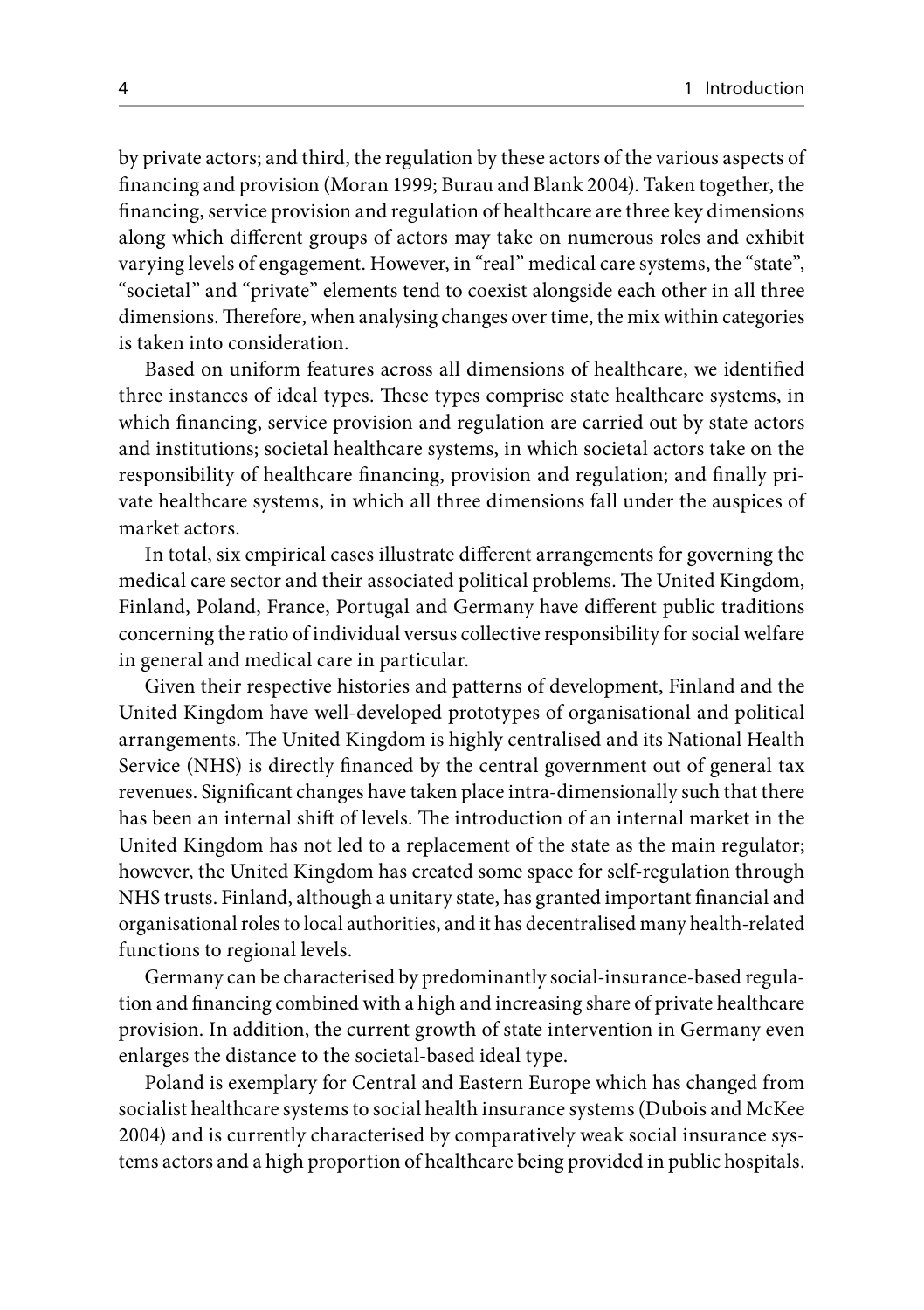by private actors; and third, the regulation by these actors of the various aspects of financing and provision (Moran 1999; Burau and Blank 2004). Taken together, the financing, service provision and regulation of healthcare are three key dimensions along which different groups of actors may take on numerous roles and exhibit varying levels of engagement. However, in "real" medical care systems, the "state", "societal" and "private" elements tend to coexist alongside each other in all three dimensions. Therefore, when analysing changes over time, the mix within categories is taken into consideration.

Based on uniform features across all dimensions of healthcare, we identified three instances of ideal types. These types comprise state healthcare systems, in which financing, service provision and regulation are carried out by state actors and institutions; societal healthcare systems, in which societal actors take on the responsibility of healthcare financing, provision and regulation; and finally private healthcare systems, in which all three dimensions fall under the auspices of market actors.

In total, six empirical cases illustrate different arrangements for governing the medical care sector and their associated political problems. The United Kingdom, Finland, Poland, France, Portugal and Germany have different public traditions concerning the ratio of individual versus collective responsibility for social welfare in general and medical care in particular.

Given their respective histories and patterns of development, Finland and the United Kingdom have well-developed prototypes of organisational and political arrangements. The United Kingdom is highly centralised and its National Health Service (NHS) is directly financed by the central government out of general tax revenues. Significant changes have taken place intra-dimensionally such that there has been an internal shift of levels. The introduction of an internal market in the United Kingdom has not led to a replacement of the state as the main regulator; however, the United Kingdom has created some space for self-regulation through NHS trusts. Finland, although a unitary state, has granted important financial and organisational roles to local authorities, and it has decentralised many health-related functions to regional levels.

Germany can be characterised by predominantly social-insurance-based regulation and financing combined with a high and increasing share of private healthcare provision. In addition, the current growth of state intervention in Germany even enlarges the distance to the societal-based ideal type.

Poland is exemplary for Central and Eastern Europe which has changed from socialist healthcare systems to social health insurance systems (Dubois and McKee 2004) and is currently characterised by comparatively weak social insurance systems actors and a high proportion of healthcare being provided in public hospitals.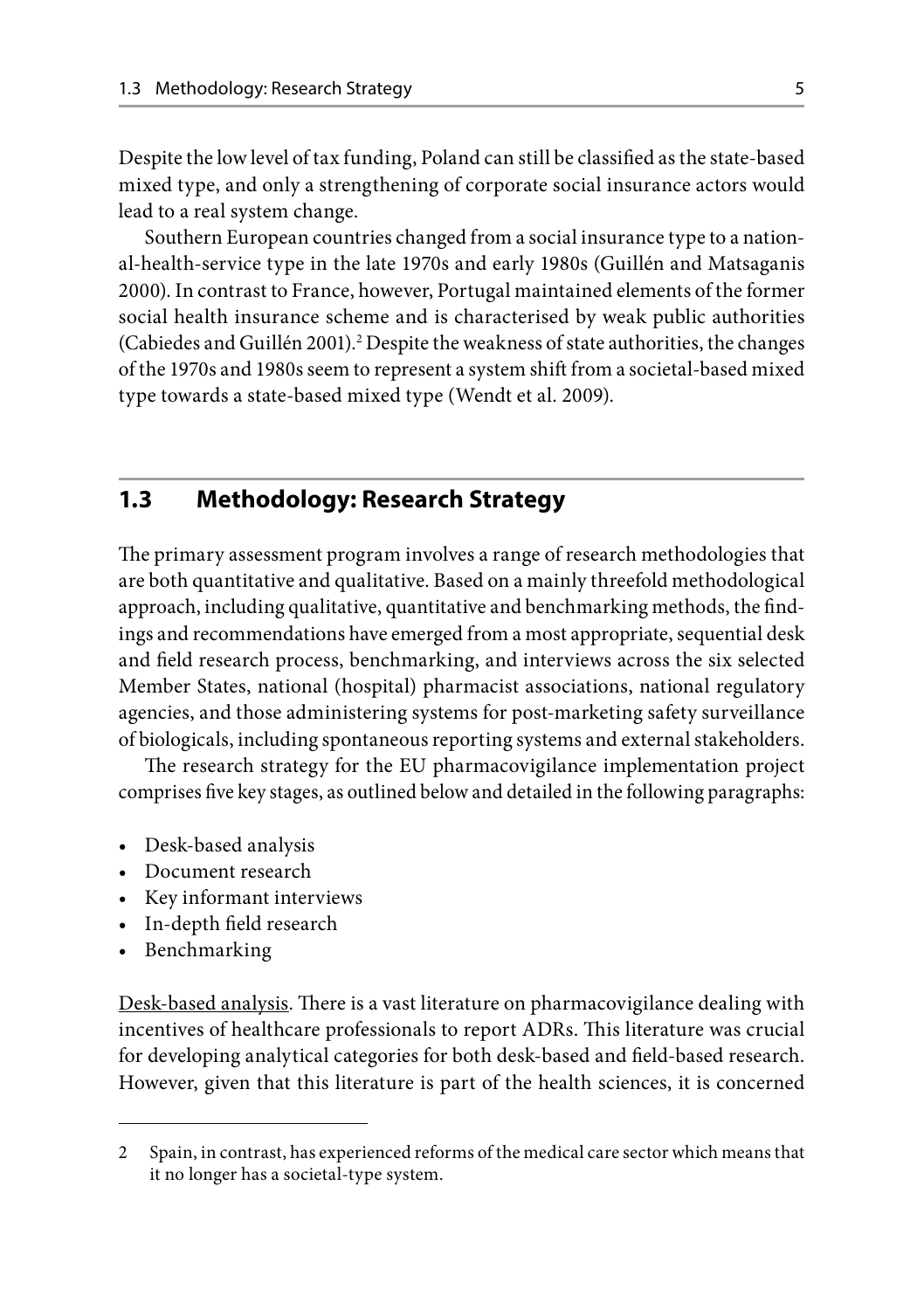Despite the low level of tax funding, Poland can still be classified as the state-based mixed type, and only a strengthening of corporate social insurance actors would lead to a real system change.

Southern European countries changed from a social insurance type to a national-health-service type in the late 1970s and early 1980s (Guillén and Matsaganis 2000). In contrast to France, however, Portugal maintained elements of the former social health insurance scheme and is characterised by weak public authorities (Cabiedes and Guillén 2001). 2 Despite the weakness of state authorities, the changes of the 1970s and 1980s seem to represent a system shift from a societal-based mixed type towards a state-based mixed type (Wendt et al. 2009).

#### **1.3 Methodology: Research Strategy**

The primary assessment program involves a range of research methodologies that are both quantitative and qualitative. Based on a mainly threefold methodological approach, including qualitative, quantitative and benchmarking methods, the findings and recommendations have emerged from a most appropriate, sequential desk and field research process, benchmarking, and interviews across the six selected Member States, national (hospital) pharmacist associations, national regulatory agencies, and those administering systems for post-marketing safety surveillance of biologicals, including spontaneous reporting systems and external stakeholders.

The research strategy for the EU pharmacovigilance implementation project comprises five key stages, as outlined below and detailed in the following paragraphs:

- • Desk-based analysis
- • Document research
- • Key informant interviews
- • In-depth field research
- • Benchmarking

Desk-based analysis. There is a vast literature on pharmacovigilance dealing with incentives of healthcare professionals to report ADRs. This literature was crucial for developing analytical categories for both desk-based and field-based research. However, given that this literature is part of the health sciences, it is concerned

<sup>2</sup> Spain, in contrast, has experienced reforms of the medical care sector which means that it no longer has a societal-type system.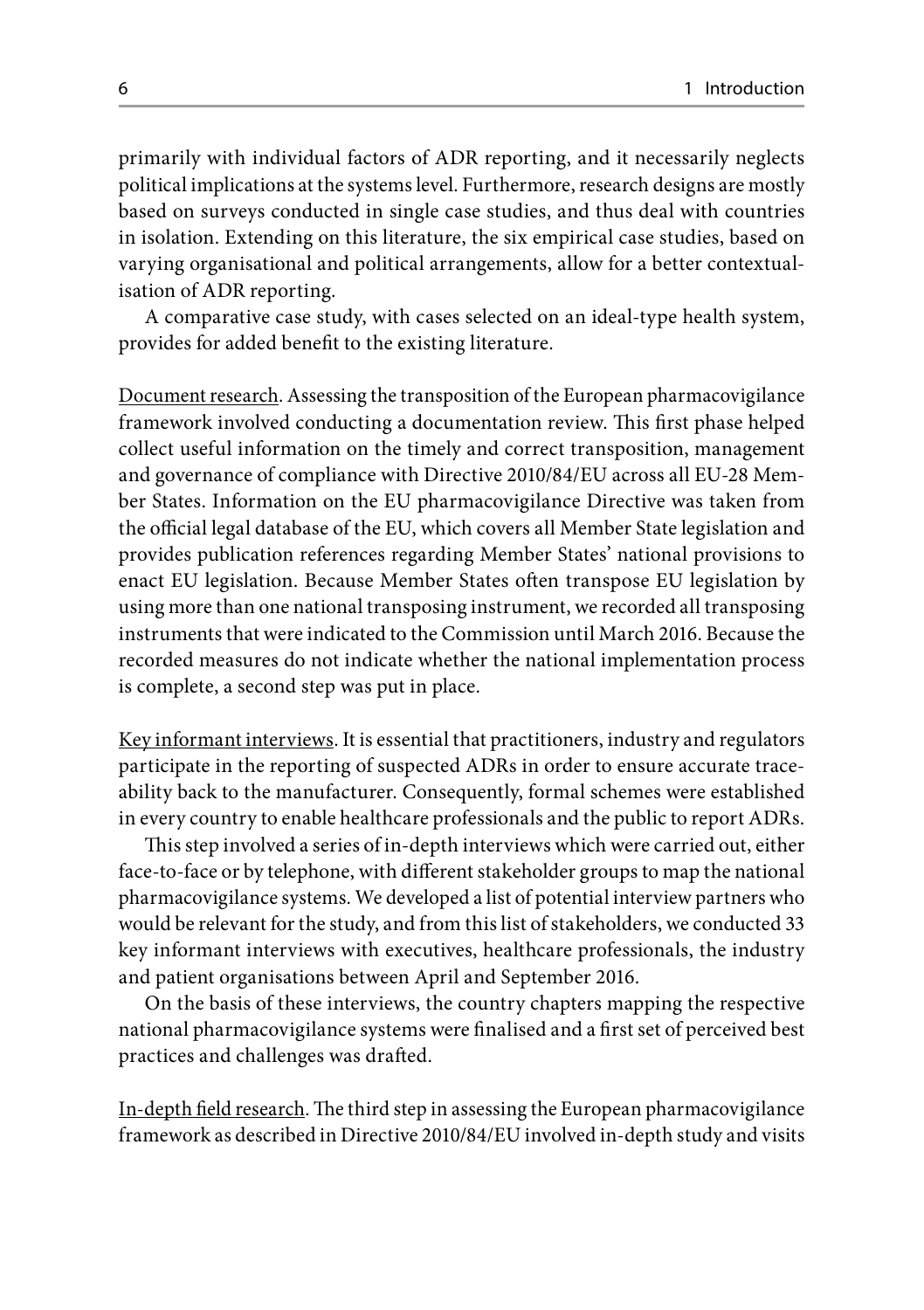primarily with individual factors of ADR reporting, and it necessarily neglects political implications at the systems level. Furthermore, research designs are mostly based on surveys conducted in single case studies, and thus deal with countries in isolation. Extending on this literature, the six empirical case studies, based on varying organisational and political arrangements, allow for a better contextualisation of ADR reporting.

A comparative case study, with cases selected on an ideal-type health system, provides for added benefit to the existing literature.

Document research. Assessing the transposition of the European pharmacovigilance framework involved conducting a documentation review. This first phase helped collect useful information on the timely and correct transposition, management and governance of compliance with Directive 2010/84/EU across all EU-28 Member States. Information on the EU pharmacovigilance Directive was taken from the official legal database of the EU, which covers all Member State legislation and provides publication references regarding Member States' national provisions to enact EU legislation. Because Member States often transpose EU legislation by using more than one national transposing instrument, we recorded all transposing instruments that were indicated to the Commission until March 2016. Because the recorded measures do not indicate whether the national implementation process is complete, a second step was put in place.

Key informant interviews. It is essential that practitioners, industry and regulators participate in the reporting of suspected ADRs in order to ensure accurate traceability back to the manufacturer. Consequently, formal schemes were established in every country to enable healthcare professionals and the public to report ADRs.

This step involved a series of in-depth interviews which were carried out, either face-to-face or by telephone, with different stakeholder groups to map the national pharmacovigilance systems. We developed a list of potential interview partners who would be relevant for the study, and from this list of stakeholders, we conducted 33 key informant interviews with executives, healthcare professionals, the industry and patient organisations between April and September 2016.

On the basis of these interviews, the country chapters mapping the respective national pharmacovigilance systems were finalised and a first set of perceived best practices and challenges was drafted.

In-depth field research. The third step in assessing the European pharmacovigilance framework as described in Directive 2010/84/EU involved in-depth study and visits